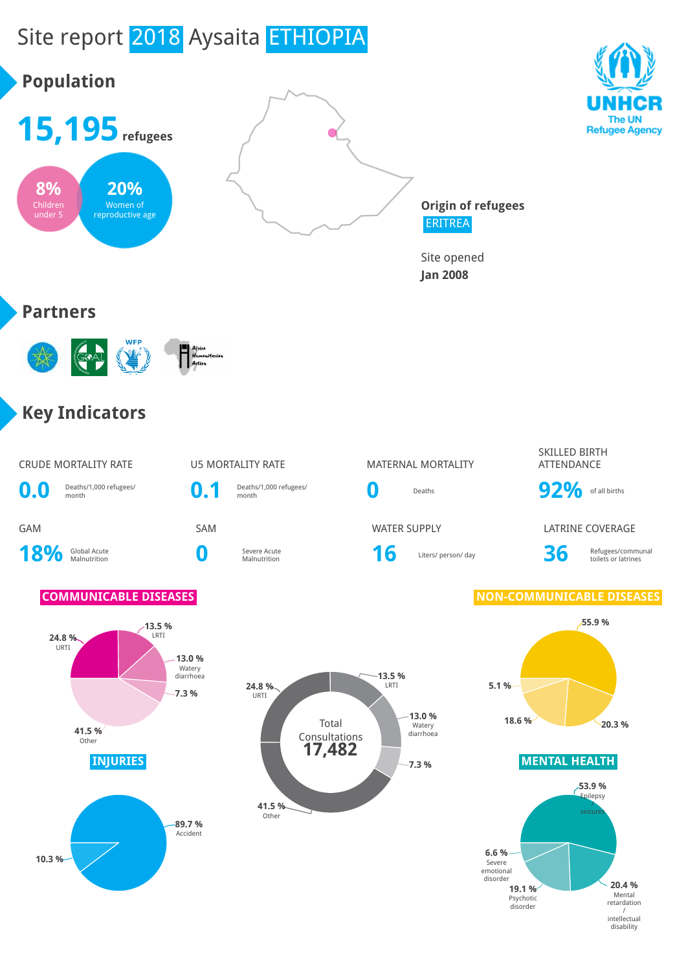

intellectual disability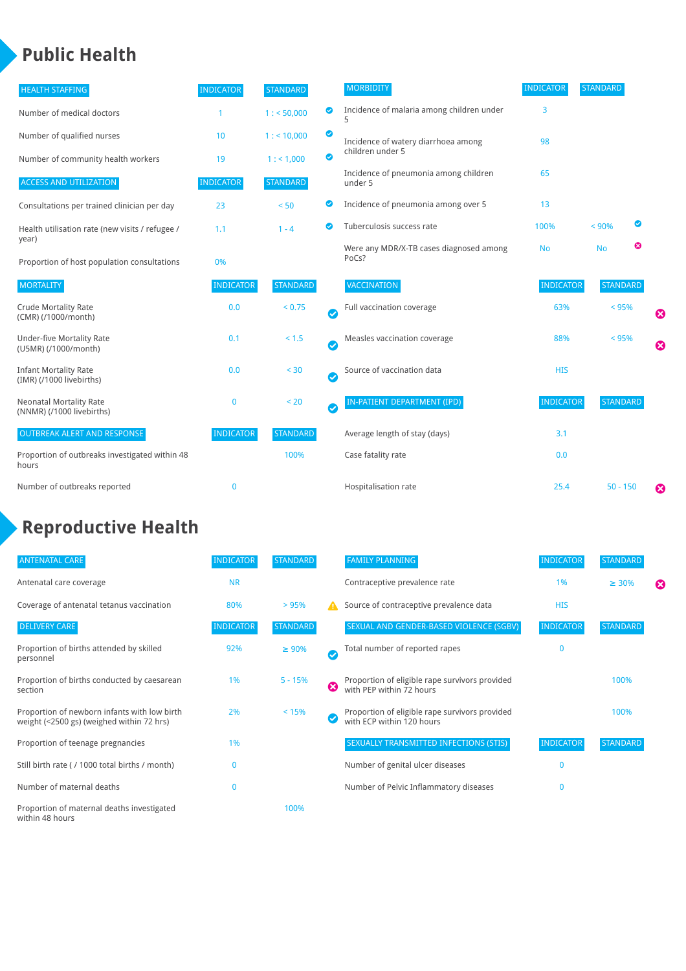### **Public Health**

| <b>HEALTH STAFFING</b>                                      | <b>INDICATOR</b> | <b>STANDARD</b> |           | <b>MORBIDITY</b>                                 | <b>INDICATOR</b> | <b>STANDARD</b> |   |                       |
|-------------------------------------------------------------|------------------|-----------------|-----------|--------------------------------------------------|------------------|-----------------|---|-----------------------|
| Number of medical doctors                                   |                  | 1: 50,000       | ◉         | Incidence of malaria among children under<br>5   | 3                |                 |   |                       |
| Number of qualified nurses                                  | 10               | $1:$ < 10,000   | ◕         | Incidence of watery diarrhoea among              | 98               |                 |   |                       |
| Number of community health workers                          | 19               | 1: 1,000        | ◙         | children under 5                                 |                  |                 |   |                       |
| <b>ACCESS AND UTILIZATION</b>                               | <b>INDICATOR</b> | <b>STANDARD</b> |           | Incidence of pneumonia among children<br>under 5 | 65               |                 |   |                       |
| Consultations per trained clinician per day                 | 23               | < 50            | Ø         | Incidence of pneumonia among over 5              | 13               |                 |   |                       |
| Health utilisation rate (new visits / refugee /<br>year)    | 1.1              | $1 - 4$         |           | Tuberculosis success rate                        | 100%             | < 90%           |   |                       |
| Proportion of host population consultations                 | 0%               |                 |           | Were any MDR/X-TB cases diagnosed among<br>PoCs? | <b>No</b>        | <b>No</b>       | ఴ |                       |
| <b>MORTALITY</b>                                            | <b>INDICATOR</b> | <b>STANDARD</b> |           | VACCINATION                                      | <b>INDICATOR</b> | <b>STANDARD</b> |   |                       |
| <b>Crude Mortality Rate</b><br>(CMR) (/1000/month)          | 0.0              | < 0.75          | $\bullet$ | Full vaccination coverage                        | 63%              | < 95%           |   | Ø                     |
| <b>Under-five Mortality Rate</b><br>(U5MR) (/1000/month)    | 0.1              | $< 1.5$         | Ø         | Measles vaccination coverage                     | 88%              | < 95%           |   | $\boldsymbol{\Omega}$ |
| <b>Infant Mortality Rate</b><br>(IMR) (/1000 livebirths)    | 0.0              | < 30            | $\bullet$ | Source of vaccination data                       | <b>HIS</b>       |                 |   |                       |
| <b>Neonatal Mortality Rate</b><br>(NNMR) (/1000 livebirths) | $\mathbf 0$      | < 20            | $\bullet$ | <b>IN-PATIENT DEPARTMENT (IPD)</b>               | <b>INDICATOR</b> | <b>STANDARD</b> |   |                       |
| <b>OUTBREAK ALERT AND RESPONSE</b>                          | <b>INDICATOR</b> | <b>STANDARD</b> |           | Average length of stay (days)                    | 3.1              |                 |   |                       |
| Proportion of outbreaks investigated within 48<br>hours     |                  | 100%            |           | Case fatality rate                               | 0.0              |                 |   |                       |
| Number of outbreaks reported                                | $\mathbf{0}$     |                 |           | Hospitalisation rate                             | 25.4             | $50 - 150$      |   | €                     |

## **Reproductive Health**

| <b>ANTENATAL CARE</b>                                                                     | <b>INDICATOR</b> | <b>STANDARD</b> |                       | <b>FAMILY PLANNING</b>                                                      | <b>INDICATOR</b> | <b>STANDARD</b> |   |
|-------------------------------------------------------------------------------------------|------------------|-----------------|-----------------------|-----------------------------------------------------------------------------|------------------|-----------------|---|
| Antenatal care coverage                                                                   | <b>NR</b>        |                 |                       | Contraceptive prevalence rate                                               | 1%               | $\geq 30\%$     | ⊠ |
| Coverage of antenatal tetanus vaccination                                                 | 80%              | >95%            | А                     | Source of contraceptive prevalence data                                     | <b>HIS</b>       |                 |   |
| <b>DELIVERY CARE</b>                                                                      | <b>INDICATOR</b> | <b>STANDARD</b> |                       | SEXUAL AND GENDER-BASED VIOLENCE (SGBV)                                     | <b>INDICATOR</b> | <b>STANDARD</b> |   |
| Proportion of births attended by skilled<br>personnel                                     | 92%              | $\geq 90\%$     | $\boldsymbol{\sigma}$ | Total number of reported rapes                                              | $\mathbf{0}$     |                 |   |
| Proportion of births conducted by caesarean<br>section                                    | 1%               | $5 - 15%$       | ظ                     | Proportion of eligible rape survivors provided<br>with PEP within 72 hours  |                  | 100%            |   |
| Proportion of newborn infants with low birth<br>weight (<2500 gs) (weighed within 72 hrs) | 2%               | < 15%           |                       | Proportion of eligible rape survivors provided<br>with ECP within 120 hours |                  | 100%            |   |
| Proportion of teenage pregnancies                                                         | 1%               |                 |                       | SEXUALLY TRANSMITTED INFECTIONS (STIS)                                      | <b>INDICATOR</b> | <b>STANDARD</b> |   |
| Still birth rate (/ 1000 total births / month)                                            |                  |                 |                       | Number of genital ulcer diseases                                            | $\Omega$         |                 |   |
| Number of maternal deaths                                                                 | $\mathbf{0}$     |                 |                       | Number of Pelvic Inflammatory diseases                                      | $\Omega$         |                 |   |
| Proportion of maternal deaths investigated<br>within 48 hours                             |                  | 100%            |                       |                                                                             |                  |                 |   |